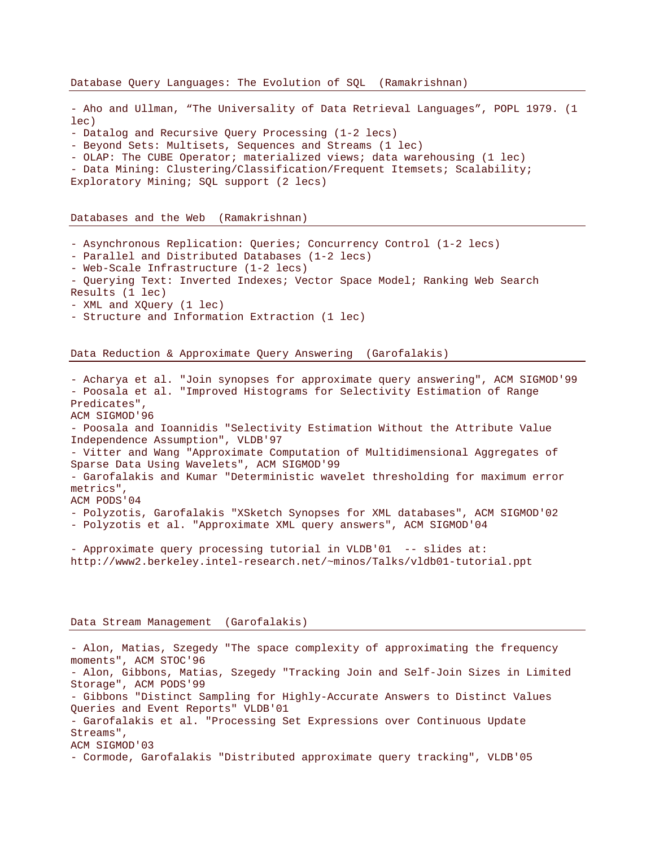- Aho and Ullman, "The Universality of Data Retrieval Languages", POPL 1979. (1 lec)

- Datalog and Recursive Query Processing (1-2 lecs)

- Beyond Sets: Multisets, Sequences and Streams (1 lec)

- OLAP: The CUBE Operator; materialized views; data warehousing (1 lec)

- Data Mining: Clustering/Classification/Frequent Itemsets; Scalability;

Exploratory Mining; SQL support (2 lecs)

Databases and the Web (Ramakrishnan)

- Asynchronous Replication: Queries; Concurrency Control (1-2 lecs)

- Parallel and Distributed Databases (1-2 lecs)
- Web-Scale Infrastructure (1-2 lecs)
- Querying Text: Inverted Indexes; Vector Space Model; Ranking Web Search Results (1 lec)
- XML and XQuery (1 lec)
- 
- Structure and Information Extraction (1 lec)

Data Reduction & Approximate Query Answering (Garofalakis)

- Acharya et al. "Join synopses for approximate query answering", ACM SIGMOD'99 - Poosala et al. "Improved Histograms for Selectivity Estimation of Range Predicates", ACM SIGMOD'96 - Poosala and Ioannidis "Selectivity Estimation Without the Attribute Value Independence Assumption", VLDB'97 - Vitter and Wang "Approximate Computation of Multidimensional Aggregates of Sparse Data Using Wavelets", ACM SIGMOD'99 - Garofalakis and Kumar "Deterministic wavelet thresholding for maximum error metrics", ACM PODS'04 - Polyzotis, Garofalakis "XSketch Synopses for XML databases", ACM SIGMOD'02 - Polyzotis et al. "Approximate XML query answers", ACM SIGMOD'04

- Approximate query processing tutorial in VLDB'01 -- slides at: http://www2.berkeley.intel-research.net/~minos/Talks/vldb01-tutorial.ppt

## Data Stream Management (Garofalakis)

- Alon, Matias, Szegedy "The space complexity of approximating the frequency moments", ACM STOC'96 - Alon, Gibbons, Matias, Szegedy "Tracking Join and Self-Join Sizes in Limited Storage", ACM PODS'99 - Gibbons "Distinct Sampling for Highly-Accurate Answers to Distinct Values Queries and Event Reports" VLDB'01 - Garofalakis et al. "Processing Set Expressions over Continuous Update Streams", ACM SIGMOD'03 - Cormode, Garofalakis "Distributed approximate query tracking", VLDB'05